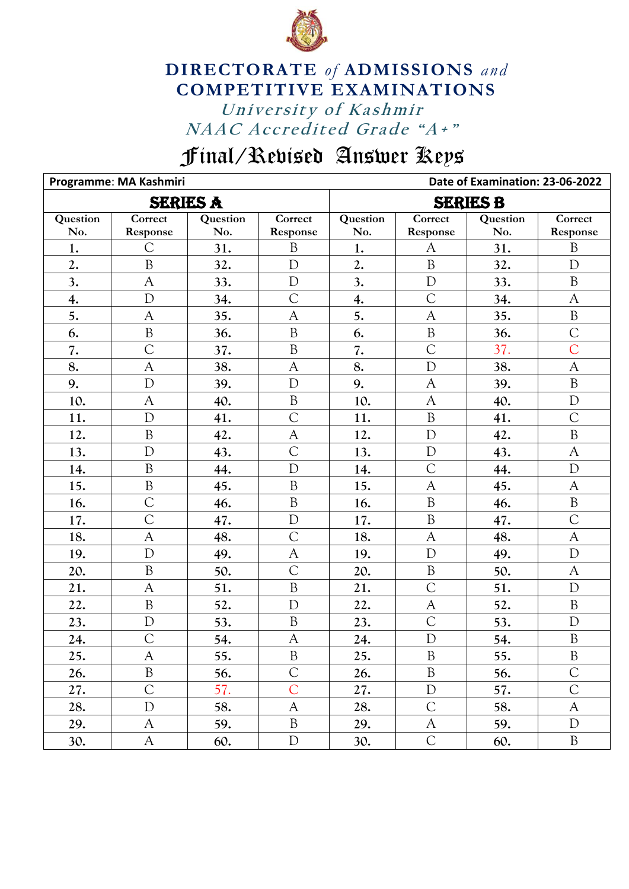

## University of Kashmir NAAC Accredited Grade "A+" **DIRECTORATE** *of* **ADMISSIONS** *and* **COMPETITIVE EXAMINATIONS**

## Final/Revised Answer Keys

|          | Programme: MA Kashmiri |                 |                | Date of Examination: 23-06-2022 |                             |          |                |  |
|----------|------------------------|-----------------|----------------|---------------------------------|-----------------------------|----------|----------------|--|
|          |                        | <b>SERIES A</b> |                | <b>SERIES B</b>                 |                             |          |                |  |
| Question | Correct                | Question        | Correct        | Question                        | $\overline{\text{Correct}}$ | Question | Correct        |  |
| No.      | Response               | No.             | Response       | No.                             | Response                    | No.      | Response       |  |
| 1.       | C                      | 31.             | $\mathbf{B}$   | 1.                              | $\mathsf{A}$                | 31.      | $\mathbf{B}$   |  |
| 2.       | $\mathbf B$            | 32.             | $\mathbf D$    | 2.                              | $\overline{B}$              | 32.      | $\mathbf D$    |  |
| 3.       | A                      | 33.             | D              | 3.                              | D                           | 33.      | B              |  |
| 4.       | $\mathbf D$            | 34.             | $\overline{C}$ | 4.                              | $\overline{C}$              | 34.      | $\mathsf{A}$   |  |
| 5.       | $\mathsf{A}$           | 35.             | $\mathbf{A}$   | 5.                              | $\mathbf{A}$                | 35.      | $\, {\bf B}$   |  |
| 6.       | $\mathbf B$            | 36.             | $\overline{B}$ | 6.                              | $\overline{B}$              | 36.      | $\overline{C}$ |  |
| 7.       | C                      | 37.             | $\, {\bf B}$   | 7.                              | $\overline{C}$              | 37.      | $\overline{C}$ |  |
| 8.       | $\mathsf{A}$           | 38.             | $\mathsf{A}$   | 8.                              | $\mathbf{D}$                | 38.      | $\mathbf{A}$   |  |
| 9.       | $\mathbf{D}$           | 39.             | $\mathbf D$    | 9.                              | $\overline{A}$              | 39.      | $\, {\bf B}$   |  |
| 10.      | A                      | 40.             | $\, {\bf B}$   | 10.                             | $\mathsf{A}$                | 40.      | $\mathbf D$    |  |
| 11.      | $\mathbf{D}$           | 41.             | $\overline{C}$ | 11.                             | $\overline{B}$              | 41.      | $\overline{C}$ |  |
| 12.      | $\mathbf B$            | 42.             | $\mathsf{A}$   | 12.                             | D                           | 42.      | $\rm B$        |  |
| 13.      | D                      | 43.             | $\overline{C}$ | 13.                             | D                           | 43.      | $\mathsf{A}$   |  |
| 14.      | B                      | 44.             | $\mathbf D$    | 14.                             | $\overline{C}$              | 44.      | $\mathbf D$    |  |
| 15.      | $\overline{B}$         | 45.             | $\overline{B}$ | 15.                             | $\mathsf{A}$                | 45.      | $\mathbf{A}$   |  |
| 16.      | $\overline{C}$         | 46.             | $\mathbf B$    | 16.                             | $\overline{B}$              | 46.      | $\rm B$        |  |
| 17.      | $\overline{C}$         | 47.             | $\mathbf D$    | 17.                             | $\mathbf B$                 | 47.      | $\overline{C}$ |  |
| 18.      | $\mathsf{A}$           | 48.             | $\overline{C}$ | 18.                             | $\mathsf{A}$                | 48.      | $\mathsf{A}$   |  |
| 19.      | D                      | 49.             | A              | 19.                             | $\overline{D}$              | 49.      | D              |  |
| 20.      | $\mathbf B$            | 50.             | $\overline{C}$ | 20.                             | $\, {\bf B}$                | 50.      | $\mathsf{A}$   |  |
| 21.      | $\mathsf{A}$           | 51.             | $\rm B$        | 21.                             | $\overline{C}$              | 51.      | $\mathbf D$    |  |
| 22.      | $\rm B$                | 52.             | $\mathbf D$    | 22.                             | A                           | 52.      | $\, {\bf B}$   |  |
| 23.      | D                      | 53.             | $\mathbf B$    | 23.                             | $\overline{C}$              | 53.      | D              |  |
| 24.      | $\overline{C}$         | 54.             | $\mathsf{A}$   | 24.                             | $\mathbf D$                 | 54.      | $\, {\bf B}$   |  |
| 25.      | A                      | 55.             | B              | 25.                             | B                           | 55.      | $\mathbf{B}$   |  |
| 26.      | $\, {\bf B}$           | 56.             | $\mathsf{C}$   | 26.                             | $\boldsymbol{B}$            | 56.      | $\mathcal{C}$  |  |
| 27.      | $\overline{C}$         | 57.             | $\overline{C}$ | 27.                             | $\mathbf D$                 | 57.      | $\overline{C}$ |  |
| 28.      | $\mathbf D$            | 58.             | $\mathsf{A}$   | 28.                             | $\overline{C}$              | 58.      | $\mathsf{A}$   |  |
| 29.      | A                      | 59.             | $\, {\bf B}$   | 29.                             | $\mathbf{A}$                | 59.      | $\mathbf D$    |  |
| 30.      | A                      | 60.             | $\mathbf D$    | 30.                             | $\mathsf C$                 | 60.      | $\mathbf B$    |  |